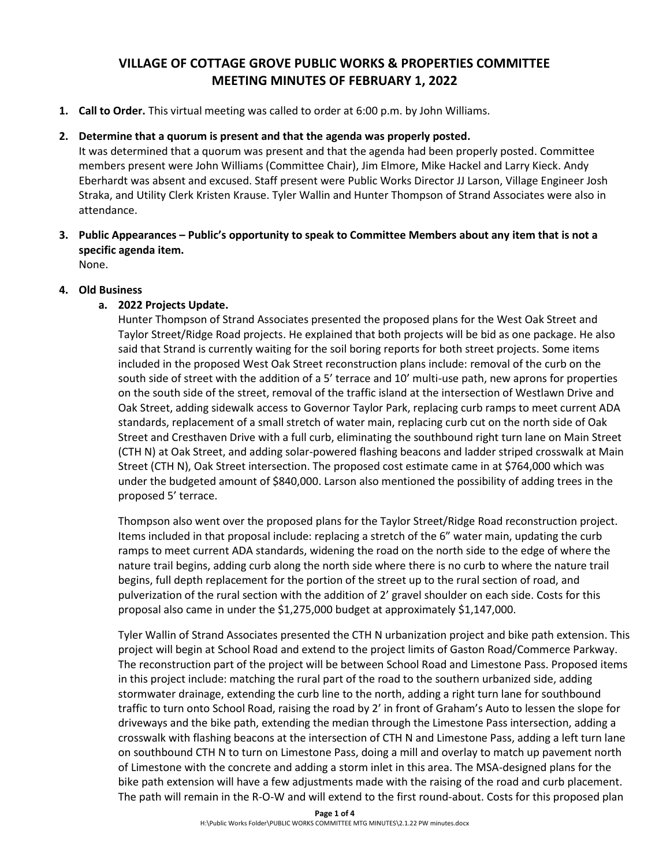# **VILLAGE OF COTTAGE GROVE PUBLIC WORKS & PROPERTIES COMMITTEE MEETING MINUTES OF FEBRUARY 1, 2022**

**1. Call to Order.** This virtual meeting was called to order at 6:00 p.m. by John Williams.

## **2. Determine that a quorum is present and that the agenda was properly posted.**

It was determined that a quorum was present and that the agenda had been properly posted. Committee members present were John Williams (Committee Chair), Jim Elmore, Mike Hackel and Larry Kieck. Andy Eberhardt was absent and excused. Staff present were Public Works Director JJ Larson, Village Engineer Josh Straka, and Utility Clerk Kristen Krause. Tyler Wallin and Hunter Thompson of Strand Associates were also in attendance.

**3. Public Appearances – Public's opportunity to speak to Committee Members about any item that is not a specific agenda item.**

None.

## **4. Old Business**

## **a. 2022 Projects Update.**

Hunter Thompson of Strand Associates presented the proposed plans for the West Oak Street and Taylor Street/Ridge Road projects. He explained that both projects will be bid as one package. He also said that Strand is currently waiting for the soil boring reports for both street projects. Some items included in the proposed West Oak Street reconstruction plans include: removal of the curb on the south side of street with the addition of a 5' terrace and 10' multi-use path, new aprons for properties on the south side of the street, removal of the traffic island at the intersection of Westlawn Drive and Oak Street, adding sidewalk access to Governor Taylor Park, replacing curb ramps to meet current ADA standards, replacement of a small stretch of water main, replacing curb cut on the north side of Oak Street and Cresthaven Drive with a full curb, eliminating the southbound right turn lane on Main Street (CTH N) at Oak Street, and adding solar-powered flashing beacons and ladder striped crosswalk at Main Street (CTH N), Oak Street intersection. The proposed cost estimate came in at \$764,000 which was under the budgeted amount of \$840,000. Larson also mentioned the possibility of adding trees in the proposed 5' terrace.

Thompson also went over the proposed plans for the Taylor Street/Ridge Road reconstruction project. Items included in that proposal include: replacing a stretch of the 6" water main, updating the curb ramps to meet current ADA standards, widening the road on the north side to the edge of where the nature trail begins, adding curb along the north side where there is no curb to where the nature trail begins, full depth replacement for the portion of the street up to the rural section of road, and pulverization of the rural section with the addition of 2' gravel shoulder on each side. Costs for this proposal also came in under the \$1,275,000 budget at approximately \$1,147,000.

Tyler Wallin of Strand Associates presented the CTH N urbanization project and bike path extension. This project will begin at School Road and extend to the project limits of Gaston Road/Commerce Parkway. The reconstruction part of the project will be between School Road and Limestone Pass. Proposed items in this project include: matching the rural part of the road to the southern urbanized side, adding stormwater drainage, extending the curb line to the north, adding a right turn lane for southbound traffic to turn onto School Road, raising the road by 2' in front of Graham's Auto to lessen the slope for driveways and the bike path, extending the median through the Limestone Pass intersection, adding a crosswalk with flashing beacons at the intersection of CTH N and Limestone Pass, adding a left turn lane on southbound CTH N to turn on Limestone Pass, doing a mill and overlay to match up pavement north of Limestone with the concrete and adding a storm inlet in this area. The MSA-designed plans for the bike path extension will have a few adjustments made with the raising of the road and curb placement. The path will remain in the R-O-W and will extend to the first round-about. Costs for this proposed plan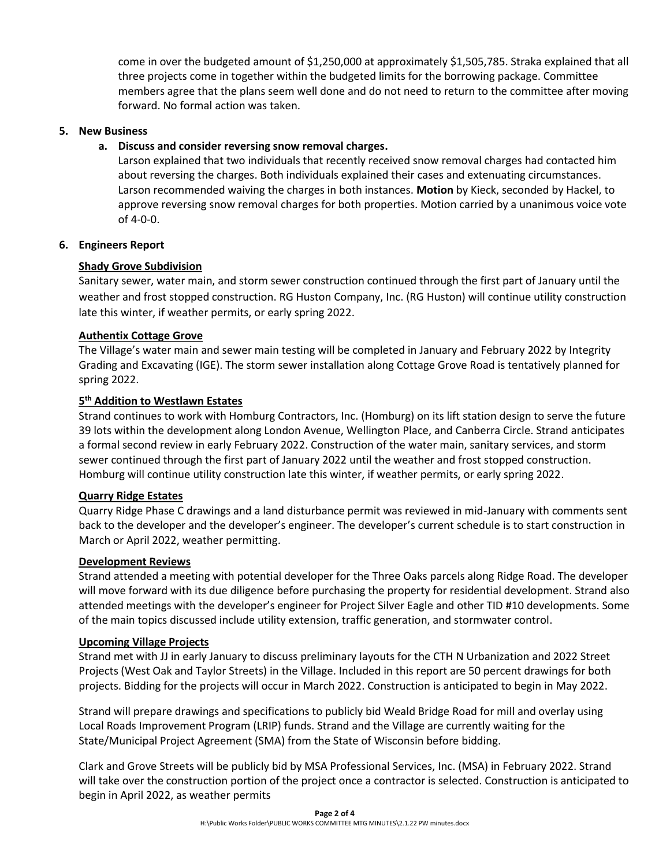come in over the budgeted amount of \$1,250,000 at approximately \$1,505,785. Straka explained that all three projects come in together within the budgeted limits for the borrowing package. Committee members agree that the plans seem well done and do not need to return to the committee after moving forward. No formal action was taken.

### **5. New Business**

## **a. Discuss and consider reversing snow removal charges.**

Larson explained that two individuals that recently received snow removal charges had contacted him about reversing the charges. Both individuals explained their cases and extenuating circumstances. Larson recommended waiving the charges in both instances. **Motion** by Kieck, seconded by Hackel, to approve reversing snow removal charges for both properties. Motion carried by a unanimous voice vote of 4-0-0.

### **6. Engineers Report**

## **Shady Grove Subdivision**

Sanitary sewer, water main, and storm sewer construction continued through the first part of January until the weather and frost stopped construction. RG Huston Company, Inc. (RG Huston) will continue utility construction late this winter, if weather permits, or early spring 2022.

### **Authentix Cottage Grove**

The Village's water main and sewer main testing will be completed in January and February 2022 by Integrity Grading and Excavating (IGE). The storm sewer installation along Cottage Grove Road is tentatively planned for spring 2022.

## **5 th Addition to Westlawn Estates**

Strand continues to work with Homburg Contractors, Inc. (Homburg) on its lift station design to serve the future 39 lots within the development along London Avenue, Wellington Place, and Canberra Circle. Strand anticipates a formal second review in early February 2022. Construction of the water main, sanitary services, and storm sewer continued through the first part of January 2022 until the weather and frost stopped construction. Homburg will continue utility construction late this winter, if weather permits, or early spring 2022.

#### **Quarry Ridge Estates**

Quarry Ridge Phase C drawings and a land disturbance permit was reviewed in mid-January with comments sent back to the developer and the developer's engineer. The developer's current schedule is to start construction in March or April 2022, weather permitting.

#### **Development Reviews**

Strand attended a meeting with potential developer for the Three Oaks parcels along Ridge Road. The developer will move forward with its due diligence before purchasing the property for residential development. Strand also attended meetings with the developer's engineer for Project Silver Eagle and other TID #10 developments. Some of the main topics discussed include utility extension, traffic generation, and stormwater control.

#### **Upcoming Village Projects**

Strand met with JJ in early January to discuss preliminary layouts for the CTH N Urbanization and 2022 Street Projects (West Oak and Taylor Streets) in the Village. Included in this report are 50 percent drawings for both projects. Bidding for the projects will occur in March 2022. Construction is anticipated to begin in May 2022.

Strand will prepare drawings and specifications to publicly bid Weald Bridge Road for mill and overlay using Local Roads Improvement Program (LRIP) funds. Strand and the Village are currently waiting for the State/Municipal Project Agreement (SMA) from the State of Wisconsin before bidding.

Clark and Grove Streets will be publicly bid by MSA Professional Services, Inc. (MSA) in February 2022. Strand will take over the construction portion of the project once a contractor is selected. Construction is anticipated to begin in April 2022, as weather permits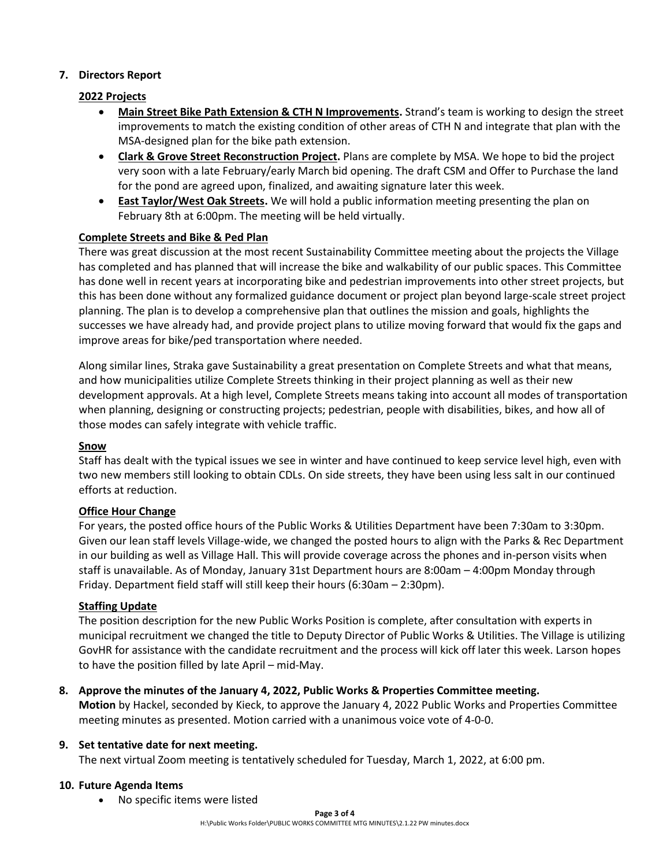## **7. Directors Report**

## **2022 Projects**

- **Main Street Bike Path Extension & CTH N Improvements.** Strand's team is working to design the street improvements to match the existing condition of other areas of CTH N and integrate that plan with the MSA-designed plan for the bike path extension.
- **Clark & Grove Street Reconstruction Project.** Plans are complete by MSA. We hope to bid the project very soon with a late February/early March bid opening. The draft CSM and Offer to Purchase the land for the pond are agreed upon, finalized, and awaiting signature later this week.
- **East Taylor/West Oak Streets.** We will hold a public information meeting presenting the plan on February 8th at 6:00pm. The meeting will be held virtually.

## **Complete Streets and Bike & Ped Plan**

There was great discussion at the most recent Sustainability Committee meeting about the projects the Village has completed and has planned that will increase the bike and walkability of our public spaces. This Committee has done well in recent years at incorporating bike and pedestrian improvements into other street projects, but this has been done without any formalized guidance document or project plan beyond large-scale street project planning. The plan is to develop a comprehensive plan that outlines the mission and goals, highlights the successes we have already had, and provide project plans to utilize moving forward that would fix the gaps and improve areas for bike/ped transportation where needed.

Along similar lines, Straka gave Sustainability a great presentation on Complete Streets and what that means, and how municipalities utilize Complete Streets thinking in their project planning as well as their new development approvals. At a high level, Complete Streets means taking into account all modes of transportation when planning, designing or constructing projects; pedestrian, people with disabilities, bikes, and how all of those modes can safely integrate with vehicle traffic.

## **Snow**

Staff has dealt with the typical issues we see in winter and have continued to keep service level high, even with two new members still looking to obtain CDLs. On side streets, they have been using less salt in our continued efforts at reduction.

## **Office Hour Change**

For years, the posted office hours of the Public Works & Utilities Department have been 7:30am to 3:30pm. Given our lean staff levels Village-wide, we changed the posted hours to align with the Parks & Rec Department in our building as well as Village Hall. This will provide coverage across the phones and in-person visits when staff is unavailable. As of Monday, January 31st Department hours are 8:00am – 4:00pm Monday through Friday. Department field staff will still keep their hours (6:30am – 2:30pm).

## **Staffing Update**

The position description for the new Public Works Position is complete, after consultation with experts in municipal recruitment we changed the title to Deputy Director of Public Works & Utilities. The Village is utilizing GovHR for assistance with the candidate recruitment and the process will kick off later this week. Larson hopes to have the position filled by late April – mid-May.

## **8. Approve the minutes of the January 4, 2022, Public Works & Properties Committee meeting.**

**Motion** by Hackel, seconded by Kieck, to approve the January 4, 2022 Public Works and Properties Committee meeting minutes as presented. Motion carried with a unanimous voice vote of 4-0-0.

## **9. Set tentative date for next meeting.**

The next virtual Zoom meeting is tentatively scheduled for Tuesday, March 1, 2022, at 6:00 pm.

## **10. Future Agenda Items**

• No specific items were listed